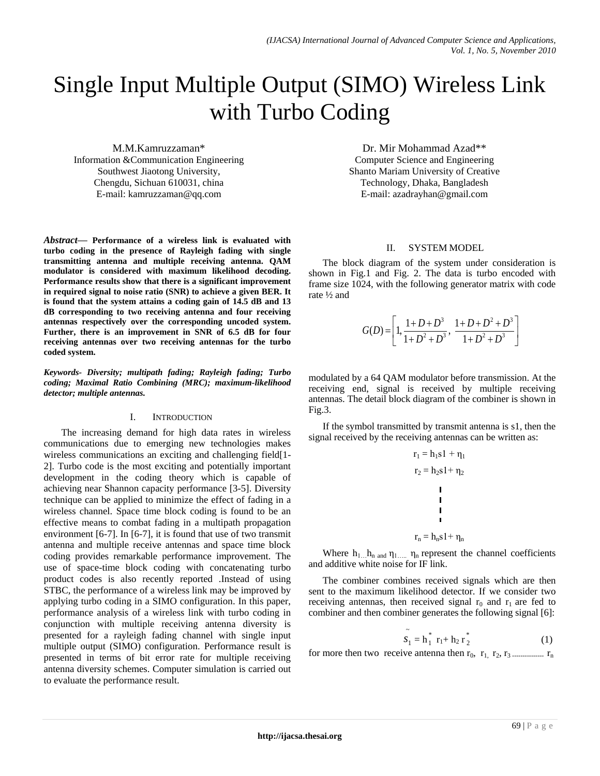# Single Input Multiple Output (SIMO) Wireless Link with Turbo Coding

M.M.Kamruzzaman\* Information &Communication Engineering Southwest Jiaotong University, Chengdu, Sichuan 610031, china E-mail: kamruzzaman@qq.com

*Abstract***— Performance of a wireless link is evaluated with turbo coding in the presence of Rayleigh fading with single transmitting antenna and multiple receiving antenna. QAM modulator is considered with maximum likelihood decoding. Performance results show that there is a significant improvement in required signal to noise ratio (SNR) to achieve a given BER. It is found that the system attains a coding gain of 14.5 dB and 13 dB corresponding to two receiving antenna and four receiving antennas respectively over the corresponding uncoded system. Further, there is an improvement in SNR of 6.5 dB for four receiving antennas over two receiving antennas for the turbo coded system.**

*Keywords- Diversity; multipath fading; Rayleigh fading; Turbo coding; Maximal Ratio Combining (MRC); maximum-likelihood detector; multiple antennas.*

## I. INTRODUCTION

The increasing demand for high data rates in wireless communications due to emerging new technologies makes wireless communications an exciting and challenging field[1- 2]. Turbo code is the most exciting and potentially important development in the coding theory which is capable of achieving near Shannon capacity performance [3-5]. Diversity technique can be applied to minimize the effect of fading in a wireless channel. Space time block coding is found to be an effective means to combat fading in a multipath propagation environment [6-7]. In [6-7], it is found that use of two transmit antenna and multiple receive antennas and space time block coding provides remarkable performance improvement. The use of space-time block coding with concatenating turbo product codes is also recently reported .Instead of using STBC, the performance of a wireless link may be improved by applying turbo coding in a SIMO configuration. In this paper, performance analysis of a wireless link with turbo coding in conjunction with multiple receiving antenna diversity is presented for a rayleigh fading channel with single input multiple output (SIMO) configuration. Performance result is presented in terms of bit error rate for multiple receiving antenna diversity schemes. Computer simulation is carried out to evaluate the performance result.

Dr. Mir Mohammad Azad\*\* Computer Science and Engineering Shanto Mariam University of Creative Technology, Dhaka, Bangladesh E-mail: azadrayhan@gmail.com

## II. SYSTEM MODEL

The block diagram of the system under consideration is shown in Fig.1 and Fig. 2. The data is turbo encoded with frame size 1024, with the following generator matrix with code rate ½ and

$$
G(D) = \left[1, \frac{1+D+D^3}{1+D^2+D^3}, \frac{1+D+D^2+D^3}{1+D^2+D^3}\right]
$$

modulated by a 64 QAM modulator before transmission. At the receiving end, signal is received by multiple receiving antennas. The detail block diagram of the combiner is shown in Fig.3.

If the symbol transmitted by transmit antenna is s1, then the signal received by the receiving antennas can be written as:

r<sup>1</sup> = h1s1 + η<sup>1</sup> r<sup>2</sup> = h2s1+ η<sup>2</sup> r<sup>n</sup> = hns1+ η<sup>n</sup>

Where  $h_{1...}h_{n}$  and  $\eta_{1...n}$   $\eta_{n}$  represent the channel coefficients and additive white noise for IF link.

The combiner combines received signals which are then sent to the maximum likelihood detector. If we consider two receiving antennas, then received signal  $r_0$  and  $r_1$  are fed to combiner and then combiner generates the following signal [6]:

$$
\tilde{s_1} = h_1^* r_1 + h_2 r_2^* \tag{1}
$$

for more then two receive antenna then r0, r1, r2, r3 --------------- r<sup>n</sup>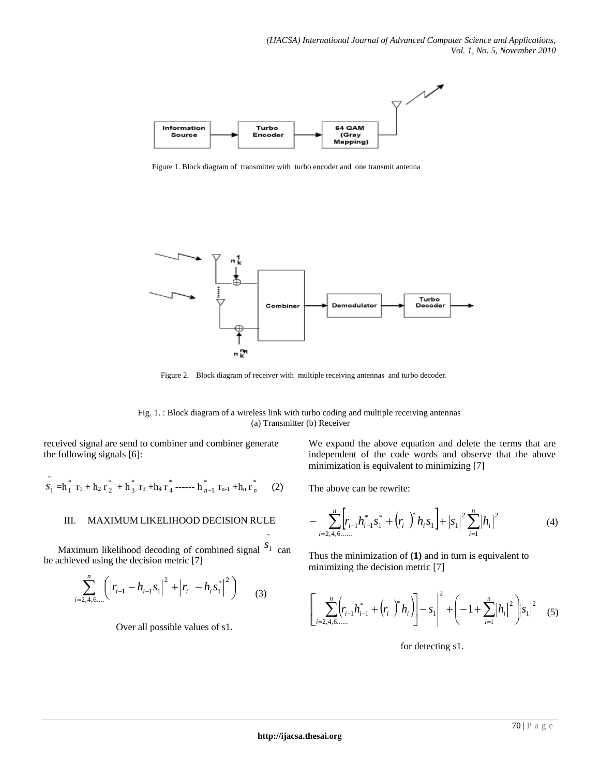

Figure 1. Block diagram of transmitter with turbo encoder and one transmit antenna



Figure 2. Block diagram of receiver with multiple receiving antennas and turbo decoder.

Fig. 1. : Block diagram of a wireless link with turbo coding and multiple receiving antennas (a) Transmitter (b) Receiver

~

received signal are send to combiner and combiner generate the following signals [6]:

$$
\tilde{s_1} = h_1^* r_1 + h_2 r_2^* + h_3^* r_3 + h_4 r_4^* \cdots + h_{n-1}^* r_{n-1} + h_n r_n^* \qquad (2)
$$

## III. MAXIMUM LIKELIHOOD DECISION RULE

Maximum likelihood decoding of combined signal  $S_1$  can be achieved using the decision metric [7]

$$
\sum_{i=2,4,6,...}^{n} \left( \left| r_{i-1} - h_{i-1} s_1 \right|^2 + \left| r_i - h_i s_1^* \right|^2 \right) \tag{3}
$$

Over all possible values of s1.

We expand the above equation and delete the terms that are independent of the code words and observe that the above minimization is equivalent to minimizing [7]

The above can be rewrite:

$$
-\sum_{i=2,4,6,\dots}^{n} \left[r_{i-1}h_{i-1}^*S_1^* + \left(r_i\right)^*h_iS_1\right] + \left|S_1\right|^2 \sum_{i=1}^{n} \left|h_i\right|^2 \tag{4}
$$

Thus the minimization of **(1)** and in turn is equivalent to minimizing the decision metric [7]

$$
\left[ \sum_{i=2,4,6,...}^{n} \left( r_{i-1} h_{i-1}^{*} + \left( r_i \right)^{*} h_i \right) \right] - s_1 \right]^2 + \left( -1 + \sum_{i=1}^{n} \left| h_i \right|^2 \right) \left| s_1 \right|^2 \tag{5}
$$

for detecting s1.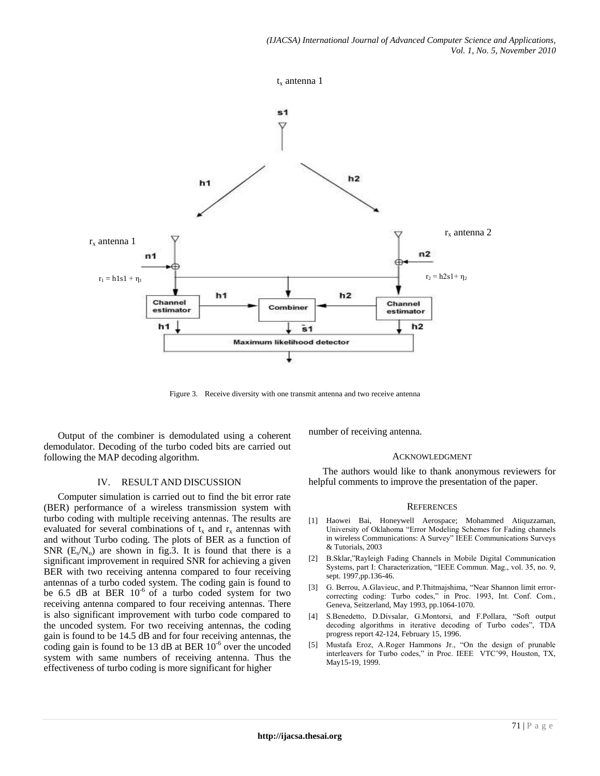

Figure 3. Receive diversity with one transmit antenna and two receive antenna

Output of the combiner is demodulated using a coherent demodulator. Decoding of the turbo coded bits are carried out following the MAP decoding algorithm.

## IV. RESULT AND DISCUSSION

Computer simulation is carried out to find the bit error rate (BER) performance of a wireless transmission system with turbo coding with multiple receiving antennas. The results are evaluated for several combinations of  $t_x$  and  $r_x$  antennas with and without Turbo coding. The plots of BER as a function of SNR  $(E_s/N_o)$  are shown in fig.3. It is found that there is a significant improvement in required SNR for achieving a given BER with two receiving antenna compared to four receiving antennas of a turbo coded system. The coding gain is found to be 6.5 dB at BER  $10^{-6}$  of a turbo coded system for two receiving antenna compared to four receiving antennas. There is also significant improvement with turbo code compared to the uncoded system. For two receiving antennas, the coding gain is found to be 14.5 dB and for four receiving antennas, the coding gain is found to be 13 dB at BER  $10^{-6}$  over the uncoded system with same numbers of receiving antenna. Thus the effectiveness of turbo coding is more significant for higher

number of receiving antenna.

#### ACKNOWLEDGMENT

The authors would like to thank anonymous reviewers for helpful comments to improve the presentation of the paper.

#### **REFERENCES**

- [1] Haowei Bai, Honeywell Aerospace; Mohammed Atiquzzaman, University of Oklahoma "Error Modeling Schemes for Fading channels in wireless Communications: A Survey" IEEE Communications Surveys & Tutorials, 2003
- [2] B.Sklar,"Rayleigh Fading Channels in Mobile Digital Communication Systems, part I: Characterization, "IEEE Commun. Mag., vol. 35, no. 9, sept. 1997,pp.136-46.
- [3] G. Berrou, A.Glavieuc, and P.Thitmajshima, "Near Shannon limit errorcorrecting coding: Turbo codes," in Proc. 1993, Int. Conf. Com., Geneva, Seitzerland, May 1993, pp.1064-1070.
- [4] S.Benedetto, D.Divsalar, G.Montorsi, and F.Pollara, "Soft output decoding algorithms in iterative decoding of Turbo codes", TDA progress report 42-124, February 15, 1996.
- [5] Mustafa Eroz, A.Roger Hammons Jr., "On the design of prunable interleavers for Turbo codes," in Proc. IEEE VTC'99, Houston, TX, May15-19, 1999.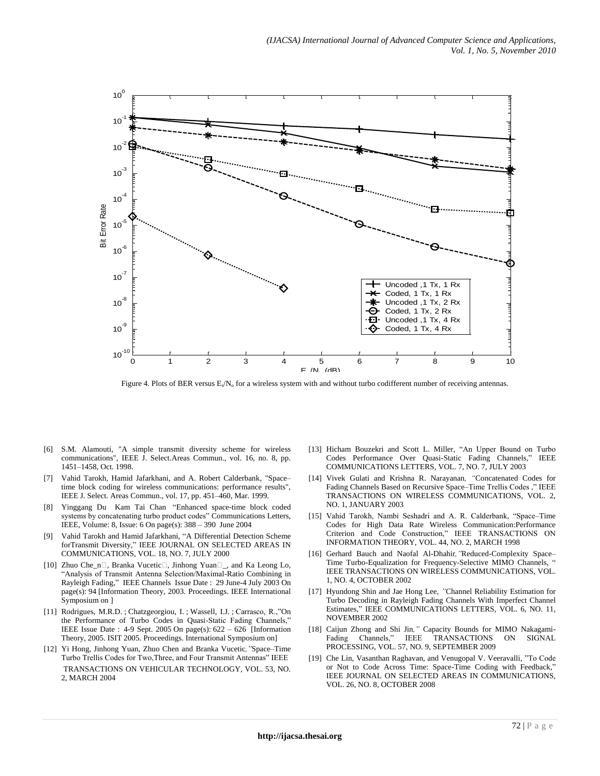

Figure 4. Plots of BER versus E<sub>s</sub>/N<sub>o</sub> for a wireless system with and without turbo codifferent number of receiving antennas.

- [6] S.M. Alamouti, "A simple transmit diversity scheme for wireless communications", IEEE J. Select.Areas Commun., vol. 16, no. 8, pp. 1451–1458, Oct. 1998.
- [7] Vahid Tarokh, Hamid Jafarkhani, and A. Robert Calderbank, "Space– time block coding for wireless communications: performance results", IEEE J. Select. Areas Commun., vol. 17, pp. 451–460, Mar. 1999.
- [8] Yinggang Du Kam Tai Chan "Enhanced space-time block coded systems by concatenating turbo product codes" Communications Letters, IEEE, Volume: 8, Issue: 6 On page(s): 388 – 390 June 2004
- [9] Vahid Tarokh and Hamid Jafarkhani, "A Differential Detection Scheme forTransmit Diversity," IEEE JOURNAL ON SELECTED AREAS IN COMMUNICATIONS, VOL. 18, NO. 7, JULY 2000
- [10] Zhuo Che\_n□, Branka Vucetic□, Jinhong Yuan□\_, and Ka Leong Lo, "Analysis of Transmit Antenna Selection/Maximal-Ratio Combining in Rayleigh Fading," IEEE Channels Issue Date : 29 June-4 July 2003 On page(s): 94 [Information Theory, 2003. Proceedings. IEEE International Symposium on ]
- [11] Rodrigues, M.R.D. ; Chatzgeorgiou, I. ; Wassell, I.J. ; Carrasco, R.,"On the Performance of Turbo Codes in Quasi-Static Fading Channels,' IEEE Issue Date : 4-9 Sept. 2005 On page(s): 622 – 626 [Information Theory, 2005. ISIT 2005. Proceedings. International Symposium on]
- [12] Yi Hong, Jinhong Yuan, Zhuo Chen and Branka Vucetic*,"*Space–Time Turbo Trellis Codes for Two,Three, and Four Transmit Antennas" IEEE TRANSACTIONS ON VEHICULAR TECHNOLOGY, VOL. 53, NO. 2, MARCH 2004
- [13] Hicham Bouzekri and Scott L. Miller, "An Upper Bound on Turbo Codes Performance Over Quasi-Static Fading Channels," IEEE COMMUNICATIONS LETTERS, VOL. 7, NO. 7, JULY 2003
- [14] Vivek Gulati and Krishna R. Narayanan*, "*Concatenated Codes for Fading Channels Based on Recursive Space–Time Trellis Codes ," IEEE TRANSACTIONS ON WIRELESS COMMUNICATIONS, VOL. 2, NO. 1, JANUARY 2003
- [15] Vahid Tarokh, Nambi Seshadri and A. R. Calderbank, "Space–Time Codes for High Data Rate Wireless Communication:Performance Criterion and Code Construction," IEEE TRANSACTIONS ON INFORMATION THEORY, VOL. 44, NO. 2, MARCH 1998
- [16] Gerhard Bauch and Naofal Al-Dhahir*,"*Reduced-Complexity Space– Time Turbo-Equalization for Frequency-Selective MIMO Channels, " IEEE TRANSACTIONS ON WIRELESS COMMUNICATIONS, VOL. 1, NO. 4, OCTOBER 2002
- [17] Hyundong Shin and Jae Hong Lee*, "*Channel Reliability Estimation for Turbo Decoding in Rayleigh Fading Channels With Imperfect Channel Estimates," IEEE COMMUNICATIONS LETTERS, VOL. 6, NO. 11, NOVEMBER 2002
- [18] Caijun Zhong and Shi Jin*,"* Capacity Bounds for MIMO Nakagami-Fading Channels," IEEE TRANSACTIONS ON SIGNAL PROCESSING, VOL. 57, NO. 9, SEPTEMBER 2009
- [19] Che Lin, Vasanthan Raghavan, and Venugopal V. Veeravalli, "To Code or Not to Code Across Time: Space-Time Coding with Feedback," IEEE JOURNAL ON SELECTED AREAS IN COMMUNICATIONS, VOL. 26, NO. 8, OCTOBER 2008